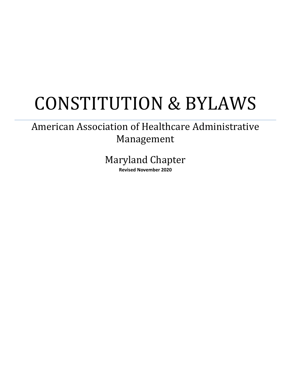# CONSTITUTION & BYLAWS

## American Association of Healthcare Administrative Management

Maryland Chapter

**Revised November 2020**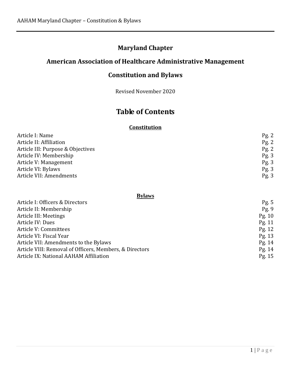## **Maryland Chapter**

## **American Association of Healthcare Administrative Management**

## **Constitution and Bylaws**

Revised November 2020

## **Table of Contents**

#### **Constitution**

| Pg. 2 |
|-------|
| Pg. 2 |
| Pg. 2 |
| Pg.3  |
| Pg.3  |
| Pg.3  |
| Pg.3  |
|       |

#### **Bylaws**

| Article I: Officers & Directors                         | Pg. 5    |
|---------------------------------------------------------|----------|
| Article II: Membership                                  | Pg.9     |
| Article III: Meetings                                   | Pg. $10$ |
| Article IV: Dues                                        | Pg. 11   |
| Article V: Committees                                   | Pg. 12   |
| Article VI: Fiscal Year                                 | Pg. $13$ |
| Article VII: Amendments to the Bylaws                   | Pg. $14$ |
| Article VIII: Removal of Officers, Members, & Directors | Pg. $14$ |
| Article IX: National AAHAM Affiliation                  | Pg. 15   |
|                                                         |          |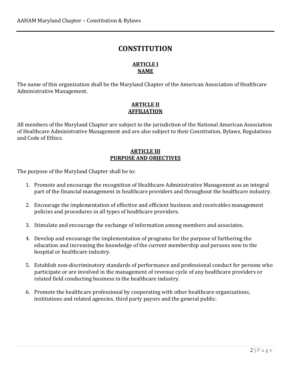## **CONSTITUTION**

#### **ARTICLE I NAME**

The name of this organization shall be the Maryland Chapter of the American Association of Healthcare Administrative Management.

#### **ARTICLE II AFFILIATION**

All members of the Maryland Chapter are subject to the jurisdiction of the National American Association of Healthcare Administrative Management and are also subject to their Constitution, Bylaws, Regulations and Code of Ethics.

#### **ARTICLE III PURPOSE AND OBJECTIVES**

The purpose of the Maryland Chapter shall be to:

- 1. Promote and encourage the recognition of Healthcare Administrative Management as an integral part of the financial management in healthcare providers and throughout the healthcare industry.
- 2. Encourage the implementation of effective and efficient business and receivables management policies and procedures in all types of healthcare providers.
- 3. Stimulate and encourage the exchange of information among members and associates.
- 4. Develop and encourage the implementation of programs for the purpose of furthering the education and increasing the knowledge of the current membership and persons new to the hospital or healthcare industry.
- 5. Establish non-discriminatory standards of performance and professional conduct for persons who participate or are involved in the management of revenue cycle of any healthcare providers or related field conducting business in the healthcare industry.
- 6. Promote the healthcare professional by cooperating with other healthcare organizations, institutions and related agencies, third party payors and the general public.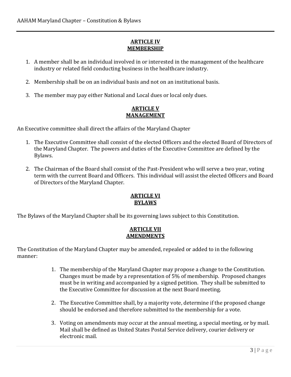#### **ARTICLE IV MEMBERSHIP**

- 1. A member shall be an individual involved in or interested in the management of the healthcare industry or related field conducting business in the healthcare industry.
- 2. Membership shall be on an individual basis and not on an institutional basis.
- 3. The member may pay either National and Local dues or local only dues.

#### **ARTICLE V MANAGEMENT**

An Executive committee shall direct the affairs of the Maryland Chapter

- 1. The Executive Committee shall consist of the elected Officers and the elected Board of Directors of the Maryland Chapter. The powers and duties of the Executive Committee are defined by the Bylaws.
- 2. The Chairman of the Board shall consist of the Past-President who will serve a two year, voting term with the current Board and Officers. This individual will assist the elected Officers and Board of Directors of the Maryland Chapter.

#### **ARTICLE VI BYLAWS**

The Bylaws of the Maryland Chapter shall be its governing laws subject to this Constitution.

#### **ARTICLE VII AMENDMENTS**

The Constitution of the Maryland Chapter may be amended, repealed or added to in the following manner:

- 1. The membership of the Maryland Chapter may propose a change to the Constitution. Changes must be made by a representation of 5% of membership. Proposed changes must be in writing and accompanied by a signed petition. They shall be submitted to the Executive Committee for discussion at the next Board meeting.
- 2. The Executive Committee shall, by a majority vote, determine if the proposed change should be endorsed and therefore submitted to the membership for a vote.
- 3. Voting on amendments may occur at the annual meeting, a special meeting, or by mail. Mail shall be defined as United States Postal Service delivery, courier delivery or electronic mail.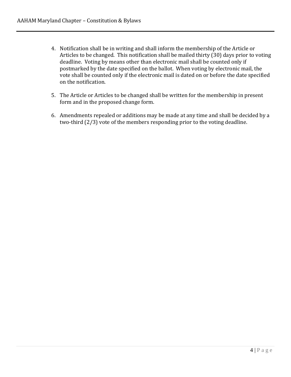- 4. Notification shall be in writing and shall inform the membership of the Article or Articles to be changed. This notification shall be mailed thirty (30) days prior to voting deadline. Voting by means other than electronic mail shall be counted only if postmarked by the date specified on the ballot. When voting by electronic mail, the vote shall be counted only if the electronic mail is dated on or before the date specified on the notification.
- 5. The Article or Articles to be changed shall be written for the membership in present form and in the proposed change form.
- 6. Amendments repealed or additions may be made at any time and shall be decided by a two-third (2/3) vote of the members responding prior to the voting deadline.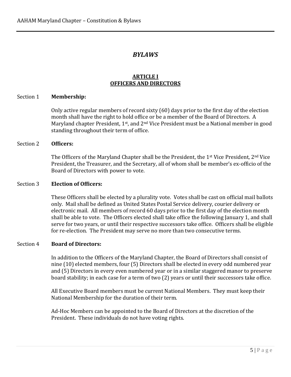#### *BYLAWS*

#### **ARTICLE I OFFICERS AND DIRECTORS**

#### Section 1 **Membership:**

Only active regular members of record sixty (60) days prior to the first day of the election month shall have the right to hold office or be a member of the Board of Directors. A Maryland chapter President, 1<sup>st</sup>, and 2<sup>nd</sup> Vice President must be a National member in good standing throughout their term of office.

#### Section 2 **Officers:**

The Officers of the Maryland Chapter shall be the President, the 1<sup>st</sup> Vice President, 2<sup>nd</sup> Vice President, the Treasurer, and the Secretary, all of whom shall be member's ex-officio of the Board of Directors with power to vote.

#### Section 3 **Election of Officers:**

These Officers shall be elected by a plurality vote. Votes shall be cast on official mail ballots only. Mail shall be defined as United States Postal Service delivery, courier delivery or electronic mail. All members of record 60 days prior to the first day of the election month shall be able to vote. The Officers elected shall take office the following January 1, and shall serve for two years, or until their respective successors take office. Officers shall be eligible for re-election. The President may serve no more than two consecutive terms.

#### Section 4 **Board of Directors:**

In addition to the Officers of the Maryland Chapter, the Board of Directors shall consist of nine (10) elected members, four (5) Directors shall be elected in every odd numbered year and (5) Directors in every even numbered year or in a similar staggered manor to preserve board stability; in each case for a term of two (2) years or until their successors take office.

All Executive Board members must be current National Members. They must keep their National Membership for the duration of their term.

Ad-Hoc Members can be appointed to the Board of Directors at the discretion of the President. These individuals do not have voting rights.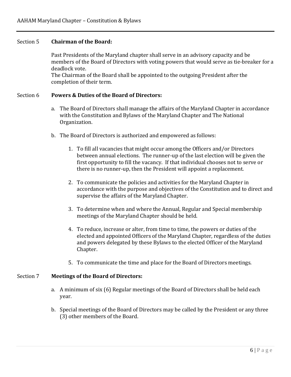#### Section 5 **Chairman of the Board:**

Past Presidents of the Maryland chapter shall serve in an advisory capacity and be members of the Board of Directors with voting powers that would serve as tie-breaker for a deadlock vote.

The Chairman of the Board shall be appointed to the outgoing President after the completion of their term.

#### Section 6 **Powers & Duties of the Board of Directors:**

- a. The Board of Directors shall manage the affairs of the Maryland Chapter in accordance with the Constitution and Bylaws of the Maryland Chapter and The National Organization.
- b. The Board of Directors is authorized and empowered as follows:
	- 1. To fill all vacancies that might occur among the Officers and/or Directors between annual elections. The runner-up of the last election will be given the first opportunity to fill the vacancy. If that individual chooses not to serve or there is no runner-up, then the President will appoint a replacement.
	- 2. To communicate the policies and activities for the Maryland Chapter in accordance with the purpose and objectives of the Constitution and to direct and supervise the affairs of the Maryland Chapter.
	- 3. To determine when and where the Annual, Regular and Special membership meetings of the Maryland Chapter should be held.
	- 4. To reduce, increase or alter, from time to time, the powers or duties of the elected and appointed Officers of the Maryland Chapter, regardless of the duties and powers delegated by these Bylaws to the elected Officer of the Maryland Chapter.
	- 5. To communicate the time and place for the Board of Directors meetings.

#### Section 7 **Meetings of the Board of Directors:**

- a. A minimum of six (6) Regular meetings of the Board of Directors shall be held each year.
- b. Special meetings of the Board of Directors may be called by the President or any three (3) other members of the Board.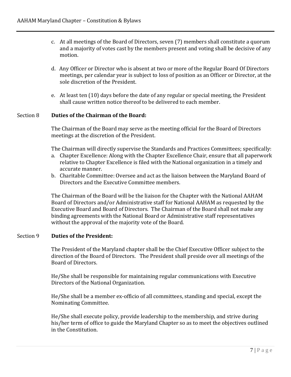- c. At all meetings of the Board of Directors, seven (7) members shall constitute a quorum and a majority of votes cast by the members present and voting shall be decisive of any motion.
- d. Any Officer or Director who is absent at two or more of the Regular Board Of Directors meetings, per calendar year is subject to loss of position as an Officer or Director, at the sole discretion of the President.
- e. At least ten (10) days before the date of any regular or special meeting, the President shall cause written notice thereof to be delivered to each member.

#### Section 8 **Duties of the Chairman of the Board:**

The Chairman of the Board may serve as the meeting official for the Board of Directors meetings at the discretion of the President.

The Chairman will directly supervise the Standards and Practices Committees; specifically:

- a. Chapter Excellence: Along with the Chapter Excellence Chair, ensure that all paperwork relative to Chapter Excellence is filed with the National organization in a timely and accurate manner.
- b. Charitable Committee: Oversee and act as the liaison between the Maryland Board of Directors and the Executive Committee members.

The Chairman of the Board will be the liaison for the Chapter with the National AAHAM Board of Directors and/or Administrative staff for National AAHAM as requested by the Executive Board and Board of Directors. The Chairman of the Board shall not make any binding agreements with the National Board or Administrative staff representatives without the approval of the majority vote of the Board.

#### Section 9 **Duties of the President:**

The President of the Maryland chapter shall be the Chief Executive Officer subject to the direction of the Board of Directors. The President shall preside over all meetings of the Board of Directors.

He/She shall be responsible for maintaining regular communications with Executive Directors of the National Organization.

He/She shall be a member ex-officio of all committees, standing and special, except the Nominating Committee.

He/She shall execute policy, provide leadership to the membership, and strive during his/her term of office to guide the Maryland Chapter so as to meet the objectives outlined in the Constitution.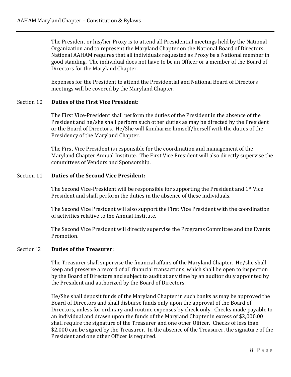The President or his/her Proxy is to attend all Presidential meetings held by the National Organization and to represent the Maryland Chapter on the National Board of Directors. National AAHAM requires that all individuals requested as Proxy be a National member in good standing. The individual does not have to be an Officer or a member of the Board of Directors for the Maryland Chapter.

Expenses for the President to attend the Presidential and National Board of Directors meetings will be covered by the Maryland Chapter.

#### Section 10 **Duties of the First Vice President:**

The First Vice-President shall perform the duties of the President in the absence of the President and he/she shall perform such other duties as may be directed by the President or the Board of Directors. He/She will familiarize himself/herself with the duties of the Presidency of the Maryland Chapter.

The First Vice President is responsible for the coordination and management of the Maryland Chapter Annual Institute. The First Vice President will also directly supervise the committees of Vendors and Sponsorship.

#### Section 11 **Duties of the Second Vice President:**

The Second Vice-President will be responsible for supporting the President and  $1<sup>st</sup>$  Vice President and shall perform the duties in the absence of these individuals.

The Second Vice President will also support the First Vice President with the coordination of activities relative to the Annual Institute.

The Second Vice President will directly supervise the Programs Committee and the Events Promotion.

#### Section l2 **Duties of the Treasurer:**

The Treasurer shall supervise the financial affairs of the Maryland Chapter. He/she shall keep and preserve a record of all financial transactions, which shall be open to inspection by the Board of Directors and subject to audit at any time by an auditor duly appointed by the President and authorized by the Board of Directors.

He/She shall deposit funds of the Maryland Chapter in such banks as may be approved the Board of Directors and shall disburse funds only upon the approval of the Board of Directors, unless for ordinary and routine expenses by check only. Checks made payable to an individual and drawn upon the funds of the Maryland Chapter in excess of \$2,000.00 shall require the signature of the Treasurer and one other Officer. Checks of less than \$2,000 can be signed by the Treasurer. In the absence of the Treasurer, the signature of the President and one other Officer is required.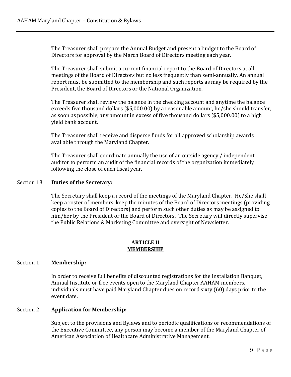The Treasurer shall prepare the Annual Budget and present a budget to the Board of Directors for approval by the March Board of Directors meeting each year.

The Treasurer shall submit a current financial report to the Board of Directors at all meetings of the Board of Directors but no less frequently than semi-annually. An annual report must be submitted to the membership and such reports as may be required by the President, the Board of Directors or the National Organization.

The Treasurer shall review the balance in the checking account and anytime the balance exceeds five thousand dollars (\$5,000.00) by a reasonable amount, he/she should transfer, as soon as possible, any amount in excess of five thousand dollars (\$5,000.00) to a high yield bank account.

The Treasurer shall receive and disperse funds for all approved scholarship awards available through the Maryland Chapter.

The Treasurer shall coordinate annually the use of an outside agency / independent auditor to perform an audit of the financial records of the organization immediately following the close of each fiscal year.

#### Section 13 **Duties of the Secretary:**

The Secretary shall keep a record of the meetings of the Maryland Chapter. He/She shall keep a roster of members, keep the minutes of the Board of Directors meetings (providing copies to the Board of Directors) and perform such other duties as may be assigned to him/her by the President or the Board of Directors. The Secretary will directly supervise the Public Relations & Marketing Committee and oversight of Newsletter.

#### **ARTICLE II MEMBERSHIP**

#### Section 1 **Membership:**

In order to receive full benefits of discounted registrations for the Installation Banquet, Annual Institute or free events open to the Maryland Chapter AAHAM members, individuals must have paid Maryland Chapter dues on record sixty (60) days prior to the event date.

#### Section 2 **Application for Membership:**

Subject to the provisions and Bylaws and to periodic qualifications or recommendations of the Executive Committee, any person may become a member of the Maryland Chapter of American Association of Healthcare Administrative Management.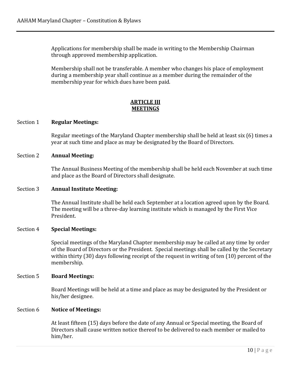Applications for membership shall be made in writing to the Membership Chairman through approved membership application.

Membership shall not be transferable. A member who changes his place of employment during a membership year shall continue as a member during the remainder of the membership year for which dues have been paid.

#### **ARTICLE III MEETINGS**

#### Section 1 **Regular Meetings:**

Regular meetings of the Maryland Chapter membership shall be held at least six (6) times a year at such time and place as may be designated by the Board of Directors.

#### Section 2 **Annual Meeting:**

The Annual Business Meeting of the membership shall be held each November at such time and place as the Board of Directors shall designate.

#### Section 3 **Annual Institute Meeting:**

The Annual Institute shall be held each September at a location agreed upon by the Board. The meeting will be a three-day learning institute which is managed by the First Vice President.

#### Section 4 **Special Meetings:**

Special meetings of the Maryland Chapter membership may be called at any time by order of the Board of Directors or the President. Special meetings shall be called by the Secretary within thirty (30) days following receipt of the request in writing of ten (10) percent of the membership.

#### Section 5 **Board Meetings:**

Board Meetings will be held at a time and place as may be designated by the President or his/her designee.

#### Section 6 **Notice of Meetings:**

At least fifteen (15) days before the date of any Annual or Special meeting, the Board of Directors shall cause written notice thereof to be delivered to each member or mailed to him/her.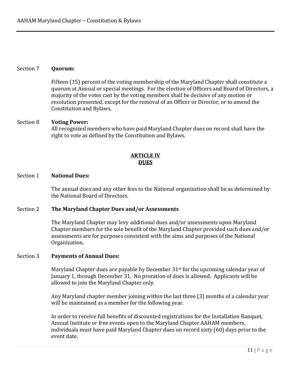#### Section 7 **Quorum:**

Fifteen (15) percent of the voting membership of the Maryland Chapter shall constitute a quorum at Annual or special meetings. For the election of Officers and Board of Directors, a majority of the votes cast by the voting members shall be decisive of any motion or resolution presented, except for the removal of an Officer or Director, or to amend the Constitution and Bylaws.

#### Section 8 **Voting Power:**

All recognized members who have paid Maryland Chapter dues on record shall have the right to vote as defined by the Constitution and Bylaws.

#### **ARTICLE IV DUES**

#### Section 1 **National Dues:**

The annual dues and any other fees to the National organization shall be as determined by the National Board of Directors.

#### Section 2 **The Maryland Chapter Dues and/or Assessments**

The Maryland Chapter may levy additional dues and/or assessments upon Maryland Chapter members for the sole benefit of the Maryland Chapter provided such dues and/or assessments are for purposes consistent with the aims and purposes of the National Organization.

#### Section 3 **Payments of Annual Dues:**

Maryland Chapter dues are payable by December 31st for the upcoming calendar year of January 1, through December 31. No proration of dues is allowed. Applicants will be allowed to join the Maryland Chapter only.

Any Maryland chapter member joining within the last three (3) months of a calendar year will be maintained as a member for the following year.

In order to receive full benefits of discounted registrations for the Installation Banquet, Annual Institute or free events open to the Maryland Chapter AAHAM members, individuals must have paid Maryland Chapter dues on record sixty (60) days prior to the event date.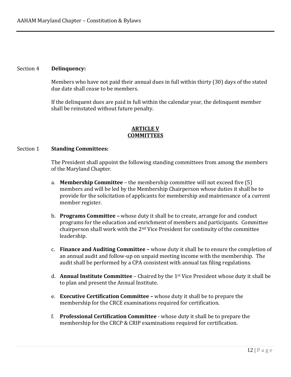#### Section 4 **Delinquency:**

Members who have not paid their annual dues in full within thirty (30) days of the stated due date shall cease to be members.

If the delinquent dues are paid in full within the calendar year, the delinquent member shall be reinstated without future penalty.

#### **ARTICLE V COMMITTEES**

#### Section 1 **Standing Committees:**

The President shall appoint the following standing committees from among the members of the Maryland Chapter.

- a. **Membership Committee** the membership committee will not exceed five (5) members and will be led by the Membership Chairperson whose duties it shall be to provide for the solicitation of applicants for membership and maintenance of a current member register.
- b. **Programs Committee –** whose duty it shall be to create, arrange for and conduct programs for the education and enrichment of members and participants. Committee chairperson shall work with the  $2<sup>nd</sup>$  Vice President for continuity of the committee leadership.
- c. **Finance and Auditing Committee –** whose duty it shall be to ensure the completion of an annual audit and follow-up on unpaid meeting income with the membership. The audit shall be performed by a CPA consistent with annual tax filing regulations.
- d. **Annual Institute Committee** Chaired by the 1st Vice President whose duty it shall be to plan and present the Annual Institute.
- e. **Executive Certification Committee –** whose duty it shall be to prepare the membership for the CRCE examinations required for certification.
- f. **Professional Certification Committee** whose duty it shall be to prepare the membership for the CRCP & CRIP examinations required for certification.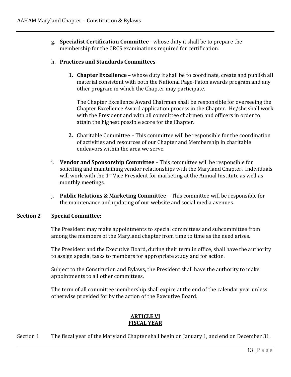g. **Specialist Certification Committee** - whose duty it shall be to prepare the membership for the CRCS examinations required for certification.

#### h. **Practices and Standards Committees**

**1. Chapter Excellence** – whose duty it shall be to coordinate, create and publish all material consistent with both the National Page-Paton awards program and any other program in which the Chapter may participate.

The Chapter Excellence Award Chairman shall be responsible for overseeing the Chapter Excellence Award application process in the Chapter. He/she shall work with the President and with all committee chairmen and officers in order to attain the highest possible score for the Chapter.

- **2.** Charitable Committee This committee will be responsible for the coordination of activities and resources of our Chapter and Membership in charitable endeavors within the area we serve.
- i. **Vendor and Sponsorship Committee** This committee will be responsible for soliciting and maintaining vendor relationships with the Maryland Chapter. Individuals will work with the 1st Vice President for marketing at the Annual Institute as well as monthly meetings.
- j. **Public Relations & Marketing Committee** This committee will be responsible for the maintenance and updating of our website and social media avenues.

#### **Section 2 Special Committee:**

The President may make appointments to special committees and subcommittee from among the members of the Maryland chapter from time to time as the need arises.

The President and the Executive Board, during their term in office, shall have the authority to assign special tasks to members for appropriate study and for action.

Subject to the Constitution and Bylaws, the President shall have the authority to make appointments to all other committees.

The term of all committee membership shall expire at the end of the calendar year unless otherwise provided for by the action of the Executive Board.

#### **ARTICLE VI FISCAL YEAR**

Section 1 The fiscal year of the Maryland Chapter shall begin on January 1, and end on December 31.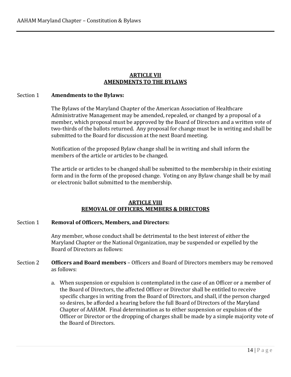#### **ARTICLE VII AMENDMENTS TO THE BYLAWS**

#### Section 1 **Amendments to the Bylaws:**

The Bylaws of the Maryland Chapter of the American Association of Healthcare Administrative Management may be amended, repealed, or changed by a proposal of a member, which proposal must be approved by the Board of Directors and a written vote of two-thirds of the ballots returned. Any proposal for change must be in writing and shall be submitted to the Board for discussion at the next Board meeting.

Notification of the proposed Bylaw change shall be in writing and shall inform the members of the article or articles to be changed.

The article or articles to be changed shall be submitted to the membership in their existing form and in the form of the proposed change. Voting on any Bylaw change shall be by mail or electronic ballot submitted to the membership.

#### **ARTICLE VIII REMOVAL OF OFFICERS, MEMBERS & DIRECTORS**

#### Section 1 **Removal of Officers, Members, and Directors:**

Any member, whose conduct shall be detrimental to the best interest of either the Maryland Chapter or the National Organization, may be suspended or expelled by the Board of Directors as follows:

- Section 2 **Officers and Board members** Officers and Board of Directors members may be removed as follows:
	- a. When suspension or expulsion is contemplated in the case of an Officer or a member of the Board of Directors, the affected Officer or Director shall be entitled to receive specific charges in writing from the Board of Directors, and shall, if the person charged so desires, be afforded a hearing before the full Board of Directors of the Maryland Chapter of AAHAM. Final determination as to either suspension or expulsion of the Officer or Director or the dropping of charges shall be made by a simple majority vote of the Board of Directors.